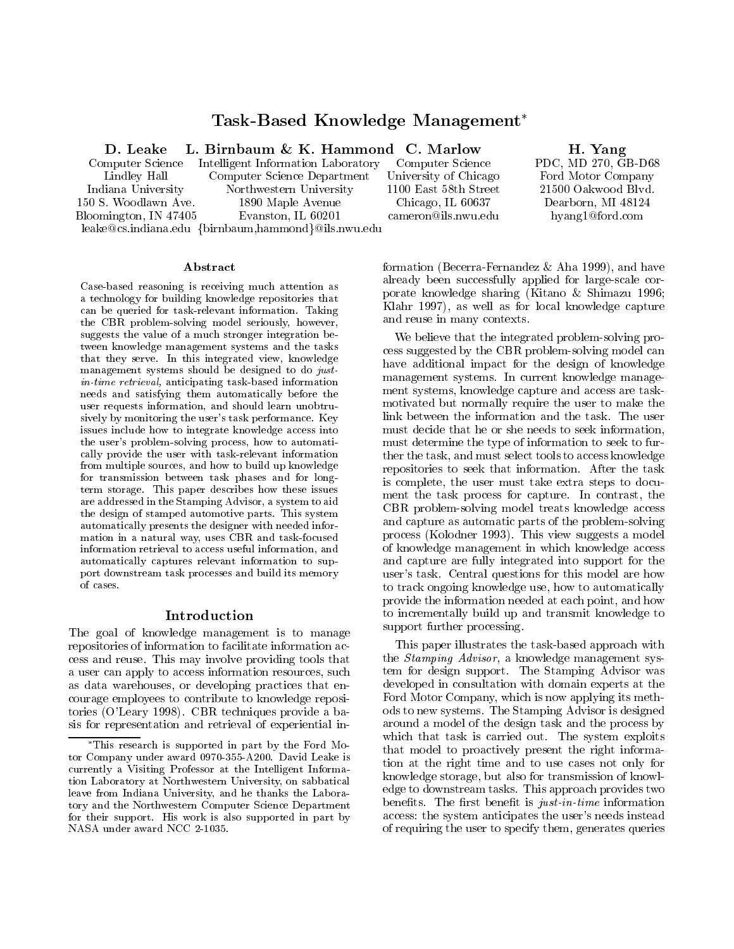# Task-Based Knowledge Management

D. Leake

Computer Science Lindley Hall Indiana University 150 S. Woodlawn Ave. Bloomington, IN 47405 leake@cs.indiana.edu {birnbaum,hammond}@ils.nwu.edu Intelligent Information Laboratory Computer Science Department Northwestern University 1890 Maple Avenue Evanston, IL 60201

Computer Science University of Chicago 1100 East 58th Street Chicago, IL 60637 cameron@ils.nwu.edu

Abstract

Case-based reasoning is receiving much attention as a technology for building knowledge repositories that can be queried for task-relevant information. Taking the CBR problem-solving model seriously, however, suggests the value of a much stronger integration between knowledge management systems and the tasks that they serve. In this integrated view, knowledge management systems should be designed to do justin-time retrieval, anticipating task-based information needs and satisfying them automatically before the user requests information, and should learn unobtrusively by monitoring the user's task performance. Key issues include how to integrate knowledge access into the user's problem-solving process, how to automatically provide the user with task-relevant information from multiple sources, and how to build up knowledge for transmission between task phases and for longterm storage. This paper describes how these issues are addressed in the Stamping Advisor, a system to aid the design of stamped automotive parts. This system automatically presents the designer with needed information in a natural way, uses CBR and task-focused information retrieval to access useful information, and automatically captures relevant information to support downstream task processes and build its memory of cases.

#### Introduction

The goal of knowledge management is to manage repositories of information to facilitate information access and reuse. This may involve providing tools that a user can apply to access information resources, such as data warehouses, or developing practices that encourage employees to contribute to knowledge repositories (O'Leary 1998). CBR techniques provide a basis for representation and retrieval of experiential information (Becerra-Fernandez & Aha 1999), and have already been successfully applied for large-scale corporate knowledge sharing (Kitano & Shimazu 1996; Klahr 1997), as well as for local knowledge capture and reuse in many contexts.

We believe that the integrated problem-solving process suggested by the CBR problem-solving model can have additional impact for the design of knowledge management systems. In current knowledge management systems, knowledge capture and access are taskmotivated but normally require the user to make the link between the information and the task. The user must decide that he or she needs to seek information, must determine the type of information to seek to further the task, and must select tools to access knowledge repositories to seek that information. After the task is complete, the user must take extra steps to document the task process for capture. In contrast, the CBR problem-solving model treats knowledge access and capture as automatic parts of the problem-solving process (Kolodner 1993). This view suggests a model of knowledge management in which knowledge access and capture are fully integrated into support for the user's task. Central questions for this model are how to track ongoing knowledge use, how to automatically provide the information needed at each point, and how to incrementally build up and transmit knowledge to support further processing.

This paper illustrates the task-based approach with the Stamping Advisor, a knowledge management system for design support. The Stamping Advisor was developed in consultation with domain experts at the Ford Motor Company, which is now applying its methods to new systems. The Stamping Advisor is designed around a model of the design task and the process by which that task is carried out. The system exploits that model to proactively present the right information at the right time and to use cases not only for knowledge storage, but also for transmission of knowledge to downstream tasks. This approach provides two benefits. The first benefit is  $just\text{-}in\text{-}time$  information access: the system anticipates the user's needs instead of requiring the user to specify them, generates queries

H. Yang

PDC, MD 270, GB-D68 Ford Motor Company 21500 Oakwood Blvd. Dearborn, MI 48124 hyang1@ford.com

This research is supported in part by the Ford Motor Company under award 0970-355-A200. David Leake is currently a Visiting Professor at the Intelligent Information Laboratory at Northwestern University, on sabbatical leave from Indiana University, and he thanks the Laboratory and the Northwestern Computer Science Department for their support. His work is also supported in part by NASA under award NCC 2-1035.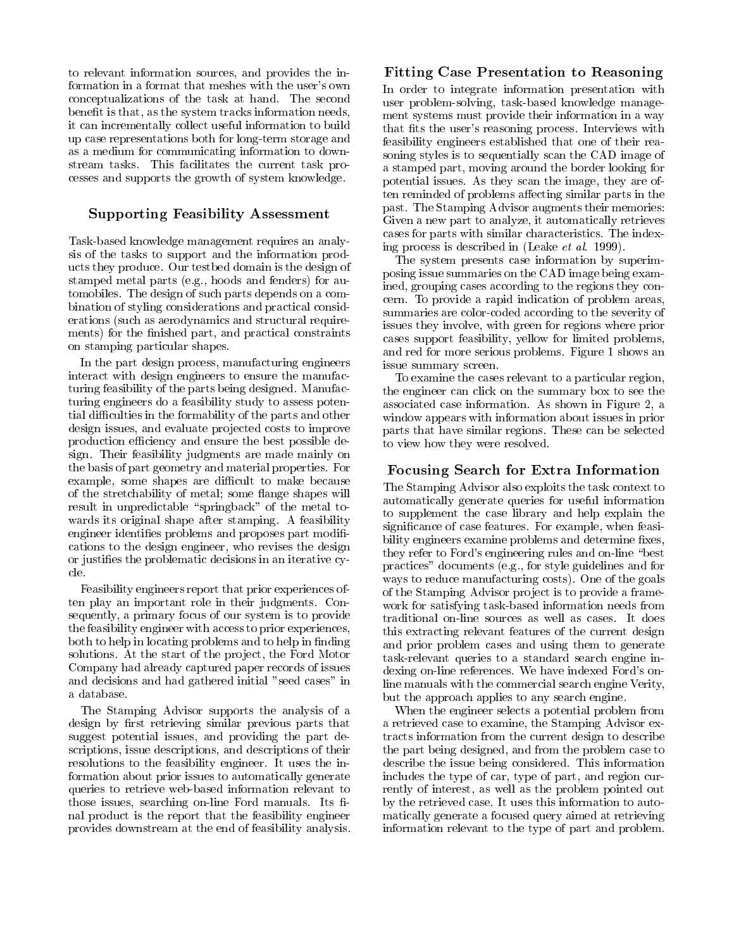to relevant information sources, and provides the information in a format that meshes with the user's own conceptualizations of the task at hand. The second benefit is that, as the system tracks information needs, it can incrementally collect useful information to build up case representations both for long-term storage and as a medium for communicating information to downstream tasks. This facilitates the current task processes and supports the growth of system knowledge.

# Supporting Feasibility Assessment

Task-based knowledge management requires an analysis of the tasks to support and the information products they produce. Our testbed domain is the design of stamped metal parts (e.g., hoods and fenders) for automobiles. The design of such parts depends on a combination of styling considerations and practical considerations (such as aerodynamics and structural requirements) for the finished part, and practical constraints on stamping particular shapes.

In the part design process, manufacturing engineers interact with design engineers to ensure the manufacturing feasibility of the parts being designed. Manufacturing engineers do a feasibility study to assess potential difficulties in the formability of the parts and other design issues, and evaluate projected costs to improve production efficiency and ensure the best possible design. Their feasibility judgments are made mainly on the basis of part geometry and material properties. For example, some shapes are difficult to make because of the stretchability of metal; some flange shapes will result in unpredictable "springback" of the metal towards its original shape after stamping. A feasibility engineer identifies problems and proposes part modifications to the design engineer, who revises the design or justies the problematic decisions in an iterative cycle.

Feasibility engineers report that prior experiences often play an important role in their judgments. Consequently, a primary focus of our system is to provide the feasibility engineer with access to prior experiences, both to help in locating problems and to help in finding solutions. At the start of the project, the Ford Motor Company had already captured paper records of issues and decisions and had gathered initial "seed cases" in a database.

The Stamping Advisor supports the analysis of a design by first retrieving similar previous parts that suggest potential issues, and providing the part descriptions, issue descriptions, and descriptions of their resolutions to the feasibility engineer. It uses the information about prior issues to automatically generate queries to retrieve web-based information relevant to those issues, searching on-line Ford manuals. Its final product is the report that the feasibility engineer provides downstream at the end of feasibility analysis.

# Fitting Case Presentation to Reasoning

In order to integrate information presentation with user problem-solving, task-based knowledge management systems must provide their information in a way that fits the user's reasoning process. Interviews with feasibility engineers established that one of their reasoning styles is to sequentially scan the CAD image of a stamped part, moving around the border looking for potential issues. As they scan the image, they are often reminded of problems affecting similar parts in the past. The Stamping Advisor augments their memories: Given a new part to analyze, it automatically retrieves cases for parts with similar characteristics. The indexing process is described in (Leake et al. 1999).

The system presents case information by superimposing issue summaries on the CAD image being examined, grouping cases according to the regions they concern. To provide a rapid indication of problem areas, summaries are color-coded according to the severity of issues they involve, with green for regions where prior cases support feasibility, yellow for limited problems, and red for more serious problems. Figure 1 shows an issue summary screen.

To examine the cases relevant to a particular region, the engineer can click on the summary box to see the associated case information. As shown in Figure 2, a window appears with information about issues in prior parts that have similar regions. These can be selected to view how they were resolved.

#### Focusing Search for Extra Information

The Stamping Advisor also exploits the task context to automatically generate queries for useful information to supplement the case library and help explain the signicance of case features. For example, when feasibility engineers examine problems and determine fixes, they refer to Ford's engineering rules and on-line \best practices" documents (e.g., for style guidelines and for ways to reduce manufacturing costs). One of the goals of the Stamping Advisor project is to provide a framework for satisfying task-based information needs from traditional on-line sources as well as cases. It does this extracting relevant features of the current design and prior problem cases and using them to generate task-relevant queries to a standard search engine indexing on-line references. We have indexed Ford's online manuals with the commercial search engine Verity, but the approach applies to any search engine.

When the engineer selects a potential problem from a retrieved case to examine, the Stamping Advisor extracts information from the current design to describe the part being designed, and from the problem case to describe the issue being considered. This information includes the type of car, type of part, and region currently of interest, as well as the problem pointed out by the retrieved case. It uses this information to automatically generate a focused query aimed at retrieving information relevant to the type of part and problem.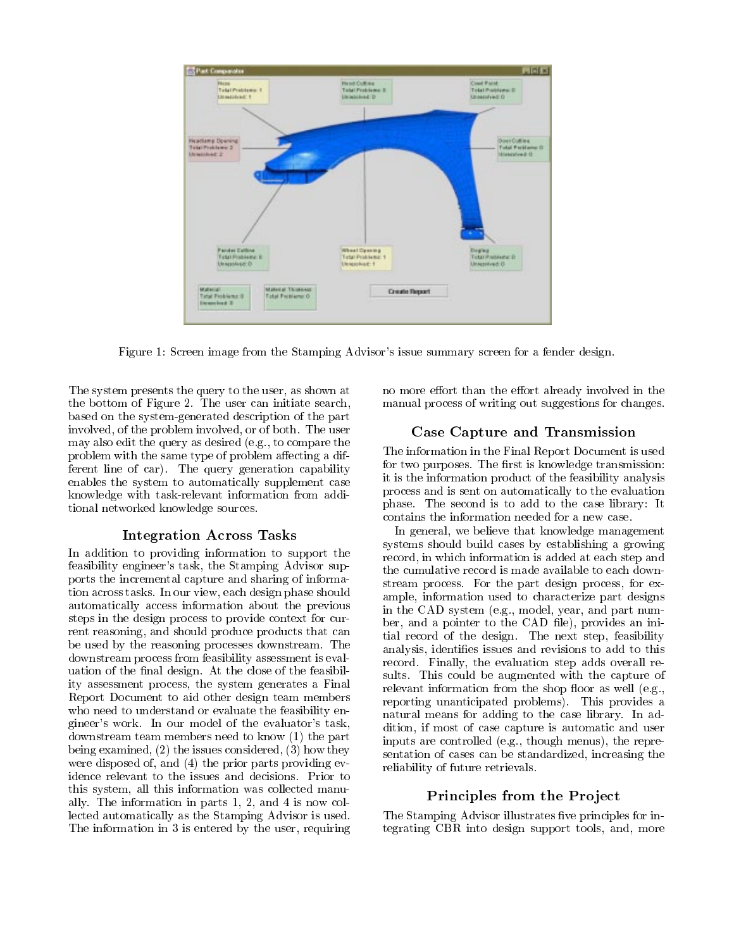

Figure 1: Screen image from the Stamping Advisor's issue summary screen for a fender design.

The system presents the query to the user, as shown at the bottom of Figure 2. The user can initiate search, based on the system-generated description of the part involved, of the problem involved, or of both. The user may also edit the query as desired (e.g., to compare the problem with the same type of problem affecting a different line of car). The query generation capability enables the system to automatically supplement case knowledge with task-relevant information from additional networked knowledge sources.

## Integration Across Tasks

In addition to providing information to support the feasibility engineer's task, the Stamping Advisor supports the incremental capture and sharing of information across tasks. In our view, each design phase should automatically access information about the previous steps in the design process to provide context for current reasoning, and should produce products that can be used by the reasoning processes downstream. The downstream process from feasibility assessment is evaluation of the final design. At the close of the feasibility assessment process, the system generates a Final Report Document to aid other design team members who need to understand or evaluate the feasibility engineer's work. In our model of the evaluator's task, downstream team members need to know (1) the part being examined, (2) the issues considered, (3) how they were disposed of, and (4) the prior parts providing evidence relevant to the issues and decisions. Prior to this system, all this information was collected manually. The information in parts 1, 2, and 4 is now collected automatically as the Stamping Advisor is used. The information in 3 is entered by the user, requiring no more effort than the effort already involved in the manual process of writing out suggestions for changes.

## Case Capture and Transmission

The information in the Final Report Document is used for two purposes. The first is knowledge transmission: it is the information product of the feasibility analysis process and is sent on automatically to the evaluation phase. The second is to add to the case library: It contains the information needed for a new case.

In general, we believe that knowledge management systems should build cases by establishing a growing record, in which information is added at each step and the cumulative record is made available to each downstream process. For the part design process, for example, information used to characterize part designs in the CAD system (e.g., model, year, and part number, and a pointer to the CAD file), provides an initial record of the design. The next step, feasibility analysis, identifies issues and revisions to add to this record. Finally, the evaluation step adds overall results. This could be augmented with the capture of relevant information from the shop floor as well  $(e.g.,)$ reporting unanticipated problems). This provides a natural means for adding to the case library. In addition, if most of case capture is automatic and user inputs are controlled (e.g., though menus), the representation of cases can be standardized, increasing the reliability of future retrievals.

## Principles from the Project

The Stamping Advisor illustrates five principles for integrating CBR into design support tools, and, more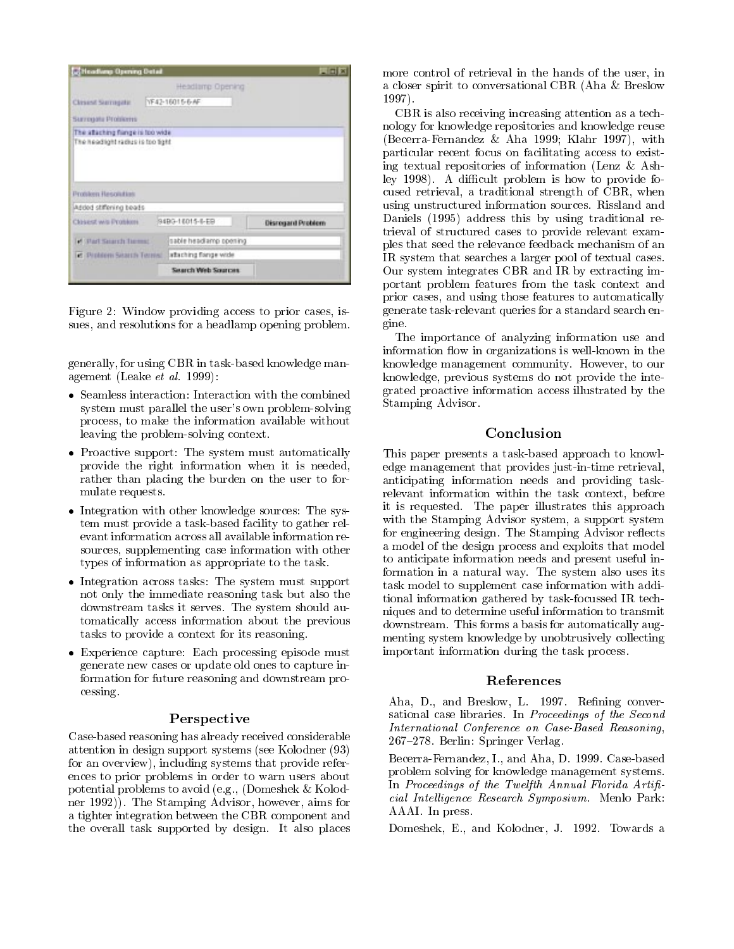| <b>Meadling Opening Detail</b>                                        |                                     | $-1$                     |
|-----------------------------------------------------------------------|-------------------------------------|--------------------------|
| Classed Sarrogate<br>Surregate Problems                               | Headlamp Opening<br>YF42-16015-6-AF |                          |
| The atlaching flange is too wide<br>The headlight radius is too tight |                                     |                          |
|                                                                       |                                     |                          |
| Problem Resolution<br>Added stiffering beads                          |                                     |                          |
|                                                                       | 9490-16015-6-E9                     | <b>Disregard Problem</b> |
| of Ohart Sararch Tuessal                                              | sable headlamp opening              |                          |
| Closest wis Problem.<br>Let : Problem Sisandi Termini                 | attaching flange wide               |                          |

Figure 2: Window providing access to prior cases, issues, and resolutions for a headlamp opening problem.

generally, for using CBR in task-based knowledge management (Leake et al. 1999):

- Seamless interaction: Interaction with the combined  $\mathbb{S}^{\text{max}}$ system must parallel the user's own problem-solving process, to make the information available without leaving the problem-solving context.
- $\bullet$  Proactive support: The system must automatically  $\blacksquare$  Th provide the right information when it is needed, rather than placing the burden on the user to for mulate requests.
- Integration with other knowledge sources: The system must provide a task-based facility to gather relevant information across all available information resources, supplementing case information with other types of information as appropriate to the task.
- $\bullet$  Integration across tasks: The system must support  $\hspace{1cm}$ not only the immediate reasoning task but also the downstream tasks it serves. The system should automatically access information about the previous tasks to provide a context for its reasoning.
- Experience capture: Each processing episode must generate new cases or update old ones to capture information for future reasoning and downstream processing.

## Perspective

Case-based reasoning has already received considerable attention in design support systems (see Kolodner (93) for an overview), including systems that provide references to prior problems in order to warn users about potential problems to avoid (e.g., (Domeshek & Kolodner 1992)). The Stamping Advisor, however, aims for a tighter integration between the CBR component and the overall task supported by design. It also places

more control of retrieval in the hands of the user, in a closer spirit to conversational CBR (Aha & Breslow 1997).

CBR is also receiving increasing attention as a technology for knowledge repositories and knowledge reuse (Becerra-Fernandez & Aha 1999; Klahr 1997), with particular recent focus on facilitating access to existing textual repositories of information (Lenz & Ashley 1998). A difficult problem is how to provide focused retrieval, a traditional strength of CBR, when using unstructured information sources. Rissland and Daniels (1995) address this by using traditional retrieval of structured cases to provide relevant examples that seed the relevance feedback mechanism of an IR system that searches a larger pool of textual cases. Our system integrates CBR and IR by extracting important problem features from the task context and prior cases, and using those features to automatically generate task-relevant queries for a standard search engine.

The importance of analyzing information use and information flow in organizations is well-known in the knowledge management community. However, to our knowledge, previous systems do not provide the integrated proactive information access illustrated by the Stamping Advisor.

## Conclusion

This paper presents a task-based approach to knowledge management that provides just-in-time retrieval, anticipating information needs and providing taskrelevant information within the task context, before it is requested. The paper illustrates this approach with the Stamping Advisor system, a support system for engineering design. The Stamping Advisor reflects a model of the design process and exploits that model to anticipate information needs and present useful information in a natural way. The system also uses its task model to supplement case information with additional information gathered by task-focussed IR techniques and to determine useful information to transmit downstream. This forms a basis for automatically augmenting system knowledge by unobtrusively collecting important information during the task process.

#### References

Aha, D., and Breslow, L. 1997. Refining conversational case libraries. In Proceedings of the Second International Conference on Case-Based Reasoning, 267-278. Berlin: Springer Verlag.

Becerra-Fernandez, I., and Aha, D. 1999. Case-based problem solving for knowledge management systems. In Proceedings of the Twelfth Annual Florida Artificial Intelligence Research Symposium. Menlo Park: AAAI. In press.

Domeshek, E., and Kolodner, J. 1992. Towards a